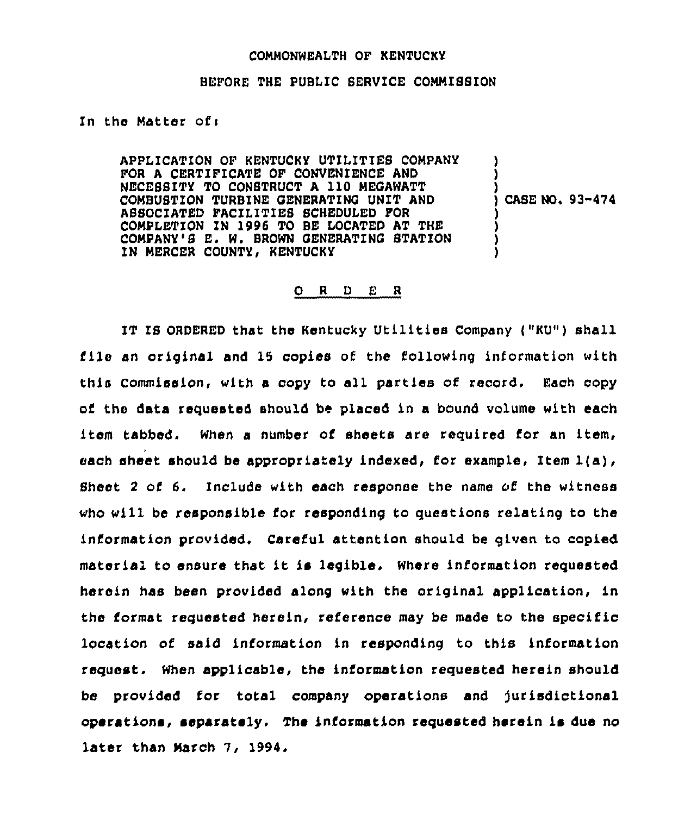### COMMONWEALTH OF KENTUCKY

### BEFORE THE PUBLIC SEAVICE CONMISSION

# In the Matter ofi

APPLICATION OF KENTUCKY UTILITIES COMPANY FOA A CEATIFICATE OF CONVENIENCE AND NECESSITY TO CONSTRUCT <sup>A</sup> 110 MEGAWATT COMBUSTION TURBINE GENERATING UNIT AND ASSOCIATED FACILITIES SCHEDULED FOR COMPLETION IN 1996 TO BE LOCATED AT THE COMPANY'S E. W. BROWN GENERATING STATION IN MERCER COUNTY, KENTUCKY  $\lambda$ ) ) ) ) )

)<br>) CASE NO, 93-474

# $O$  R D E R

IT IS ORDERED that the Kentucky Utilities Company ("KU") shall file an original and 15 copies of the following information with this Commission, with a copy to all parties of record. Each copy of the data requested should be placed in a bound volume with each item tabbed. When a number of sheets are required for an item, each sheet should be appropriately indexed, for example, Item  $l(a)$ , Sheet <sup>2</sup> of 6. Include with each response the name of the witness who will be responsible for responding to questions relating to the information provided. Careful attention should be given to copied material to ensure that it is legible. Where information requested herein has been provided along with the original application, in the format requested herein, reference may be made to the specific location of said information in responding to this information request. When applicable, the information requested herein should be provided for total company operations and )urisdictional operations, separately. The information requested herein is due no later than March 7, 1994.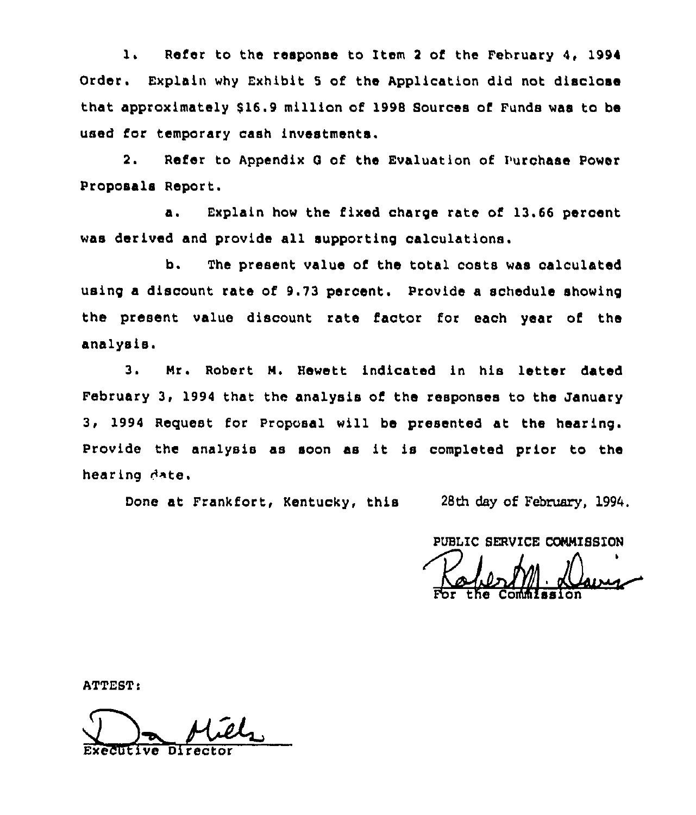1. Refer to the response to Item 2 of the February 4, 1994 Order. Explain why Exhibit 5 of the Application did not disclose that approximately 616.9 million of 1998 Sources of Funds was to be used for temporary cash investments.

2. Refer to Appendix G of the Evaluation of Purchase Power Proposals Report.

a. Explain how the fixed charge rate of 13.66 percent was derived and provide all supporting calculations.

b. The present value of the total costs was calculated using a discount rate of 9.73 percent. Provide a schedule showing the present value discount rate factor for each year of the analysis.

3. Mr. Robert M. Hewett indicated in his letter dated February 3, 1994 that the analysis of the responses to the January 3, 1994 Reguest for Proposal will be presented at the hearing. Provide the analysis as soon as it is completed prior to the hearing *A*xte.

Done at Frankfort, Kentucky, this 28th day of February, 1994.

PUBLIC SERVICE COMMISSION

For the Commissio

ATTEST:

Executive Director  $\underline{\mathit{cl}}$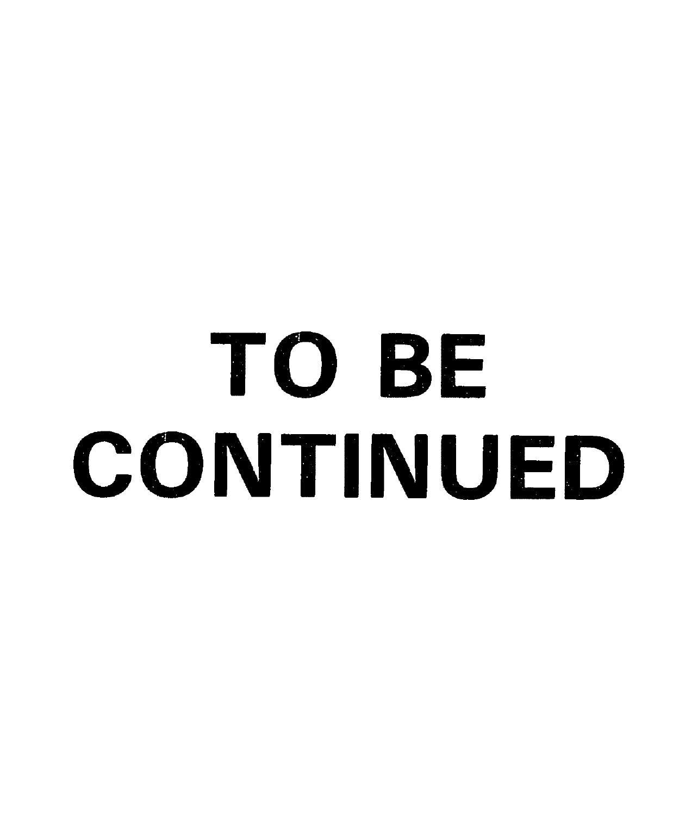# TO BE CONTINUED